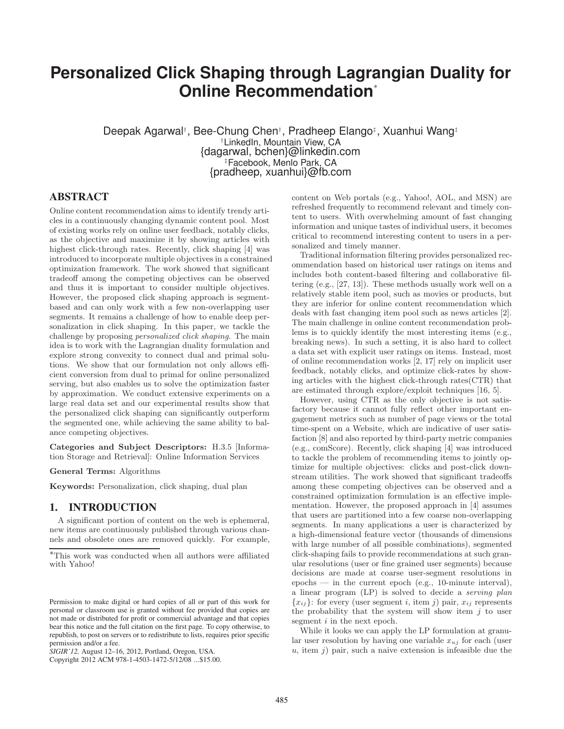# **Personalized Click Shaping through Lagrangian Duality for Online Recommendation**<sup>∗</sup>

Deepak Agarwal<sup>†</sup>, Bee-Chung Chen<sup>†</sup>, Pradheep Elango<sup>‡</sup>, Xuanhui Wang<sup>‡</sup> †LinkedIn, Mountain View, CA {dagarwal, bchen}@linkedin.com ‡Facebook, Menlo Park, CA {pradheep, xuanhui}@fb.com

# **ABSTRACT**

Online content recommendation aims to identify trendy articles in a continuously changing dynamic content pool. Most of existing works rely on online user feedback, notably clicks, as the objective and maximize it by showing articles with highest click-through rates. Recently, click shaping [4] was introduced to incorporate multiple objectives in a constrained optimization framework. The work showed that significant tradeoff among the competing objectives can be observed and thus it is important to consider multiple objectives. However, the proposed click shaping approach is segmentbased and can only work with a few non-overlapping user segments. It remains a challenge of how to enable deep personalization in click shaping. In this paper, we tackle the challenge by proposing *personalized click shaping*. The main idea is to work with the Lagrangian duality formulation and explore strong convexity to connect dual and primal solutions. We show that our formulation not only allows efficient conversion from dual to primal for online personalized serving, but also enables us to solve the optimization faster by approximation. We conduct extensive experiments on a large real data set and our experimental results show that the personalized click shaping can significantly outperform the segmented one, while achieving the same ability to balance competing objectives.

Categories and Subject Descriptors: H.3.5 [Information Storage and Retrieval]: Online Information Services

General Terms: Algorithms

Keywords: Personalization, click shaping, dual plan

#### **1. INTRODUCTION**

A significant portion of content on the web is ephemeral, new items are continuously published through various channels and obsolete ones are removed quickly. For example, content on Web portals (e.g., Yahoo!, AOL, and MSN) are refreshed frequently to recommend relevant and timely content to users. With overwhelming amount of fast changing information and unique tastes of individual users, it becomes critical to recommend interesting content to users in a personalized and timely manner.

Traditional information filtering provides personalized recommendation based on historical user ratings on items and includes both content-based filtering and collaborative filtering (e.g., [27, 13]). These methods usually work well on a relatively stable item pool, such as movies or products, but they are inferior for online content recommendation which deals with fast changing item pool such as news articles [2]. The main challenge in online content recommendation problems is to quickly identify the most interesting items (e.g., breaking news). In such a setting, it is also hard to collect a data set with explicit user ratings on items. Instead, most of online recommendation works [2, 17] rely on implicit user feedback, notably clicks, and optimize click-rates by showing articles with the highest click-through rates(CTR) that are estimated through explore/exploit techniques [16, 5].

However, using CTR as the only objective is not satisfactory because it cannot fully reflect other important engagement metrics such as number of page views or the total time-spent on a Website, which are indicative of user satisfaction [8] and also reported by third-party metric companies (e.g., comScore). Recently, click shaping [4] was introduced to tackle the problem of recommending items to jointly optimize for multiple objectives: clicks and post-click downstream utilities. The work showed that significant tradeoffs among these competing objectives can be observed and a constrained optimization formulation is an effective implementation. However, the proposed approach in [4] assumes that users are partitioned into a few coarse non-overlapping segments. In many applications a user is characterized by a high-dimensional feature vector (thousands of dimensions with large number of all possible combinations), segmented click-shaping fails to provide recommendations at such granular resolutions (user or fine grained user segments) because decisions are made at coarse user-segment resolutions in  $e$ pochs — in the current epoch  $(e.g., 10$ -minute interval), a linear program (LP) is solved to decide a *serving plan*  ${x_{ij}}$ : for every (user segment *i*, item *j*) pair,  $x_{ij}$  represents the probability that the system will show item  $j$  to user segment *i* in the next epoch.

While it looks we can apply the LP formulation at granular user resolution by having one variable  $x_{uj}$  for each (user  $u$ , item j) pair, such a naive extension is infeasible due the

<sup>∗</sup>This work was conducted when all authors were affiliated with Yahoo!

Permission to make digital or hard copies of all or part of this work for personal or classroom use is granted without fee provided that copies are not made or distributed for profit or commercial advantage and that copies bear this notice and the full citation on the first page. To copy otherwise, to republish, to post on servers or to redistribute to lists, requires prior specific permission and/or a fee.

*SIGIR'12,* August 12–16, 2012, Portland, Oregon, USA.

Copyright 2012 ACM 978-1-4503-1472-5/12/08 ...\$15.00.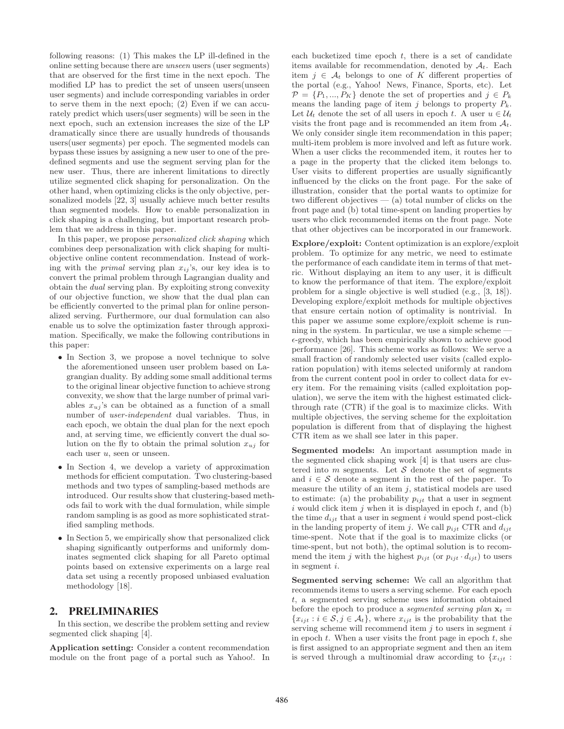following reasons: (1) This makes the LP ill-defined in the online setting because there are *unseen* users (user segments) that are observed for the first time in the next epoch. The modified LP has to predict the set of unseen users(unseen user segments) and include corresponding variables in order to serve them in the next epoch; (2) Even if we can accurately predict which users(user segments) will be seen in the next epoch, such an extension increases the size of the LP dramatically since there are usually hundreds of thousands users(user segments) per epoch. The segmented models can bypass these issues by assigning a new user to one of the predefined segments and use the segment serving plan for the new user. Thus, there are inherent limitations to directly utilize segmented click shaping for personalization. On the other hand, when optimizing clicks is the only objective, personalized models [22, 3] usually achieve much better results than segmented models. How to enable personalization in click shaping is a challenging, but important research problem that we address in this paper.

In this paper, we propose *personalized click shaping* which combines deep personalization with click shaping for multiobjective online content recommendation. Instead of working with the *primal* serving plan  $x_{ij}$ 's, our key idea is to convert the primal problem through Lagrangian duality and obtain the *dual* serving plan. By exploiting strong convexity of our objective function, we show that the dual plan can be efficiently converted to the primal plan for online personalized serving. Furthermore, our dual formulation can also enable us to solve the optimization faster through approximation. Specifically, we make the following contributions in this paper:

- In Section 3, we propose a novel technique to solve the aforementioned unseen user problem based on Lagrangian duality. By adding some small additional terms to the original linear objective function to achieve strong convexity, we show that the large number of primal variables  $x_{ui}$ 's can be obtained as a function of a small number of *user-independent* dual variables. Thus, in each epoch, we obtain the dual plan for the next epoch and, at serving time, we efficiently convert the dual solution on the fly to obtain the primal solution  $x_{uj}$  for each user  $u$ , seen or unseen.
- In Section 4, we develop a variety of approximation methods for efficient computation. Two clustering-based methods and two types of sampling-based methods are introduced. Our results show that clustering-based methods fail to work with the dual formulation, while simple random sampling is as good as more sophisticated stratified sampling methods.
- In Section 5, we empirically show that personalized click shaping significantly outperforms and uniformly dominates segmented click shaping for all Pareto optimal points based on extensive experiments on a large real data set using a recently proposed unbiased evaluation methodology [18].

# **2. PRELIMINARIES**

In this section, we describe the problem setting and review segmented click shaping [4].

Application setting: Consider a content recommendation module on the front page of a portal such as Yahoo!. In each bucketized time epoch  $t$ , there is a set of candidate items available for recommendation, denoted by  $A_t$ . Each item  $j \in A_t$  belongs to one of K different properties of the portal (e.g., Yahoo! News, Finance, Sports, etc). Let  $\mathcal{P} = \{P_1, ..., P_K\}$  denote the set of properties and  $j \in P_k$ means the landing page of item j belongs to property  $P_k$ . Let  $\mathcal{U}_t$  denote the set of all users in epoch t. A user  $u \in \mathcal{U}_t$ visits the front page and is recommended an item from  $A_t$ . We only consider single item recommendation in this paper; multi-item problem is more involved and left as future work. When a user clicks the recommended item, it routes her to a page in the property that the clicked item belongs to. User visits to different properties are usually significantly influenced by the clicks on the front page. For the sake of illustration, consider that the portal wants to optimize for two different objectives  $-$  (a) total number of clicks on the front page and (b) total time-spent on landing properties by users who click recommended items on the front page. Note that other objectives can be incorporated in our framework.

Explore/exploit: Content optimization is an explore/exploit problem. To optimize for any metric, we need to estimate the performance of each candidate item in terms of that metric. Without displaying an item to any user, it is difficult to know the performance of that item. The explore/exploit problem for a single objective is well studied (e.g., [3, 18]). Developing explore/exploit methods for multiple objectives that ensure certain notion of optimality is nontrivial. In this paper we assume some explore/exploit scheme is running in the system. In particular, we use a simple scheme  $\epsilon$ -greedy, which has been empirically shown to achieve good performance [26]. This scheme works as follows: We serve a small fraction of randomly selected user visits (called exploration population) with items selected uniformly at random from the current content pool in order to collect data for every item. For the remaining visits (called exploitation population), we serve the item with the highest estimated clickthrough rate (CTR) if the goal is to maximize clicks. With multiple objectives, the serving scheme for the exploitation population is different from that of displaying the highest CTR item as we shall see later in this paper.

Segmented models: An important assumption made in the segmented click shaping work [4] is that users are clustered into  $m$  segments. Let  $S$  denote the set of segments and  $i \in \mathcal{S}$  denote a segment in the rest of the paper. To measure the utility of an item  $j$ , statistical models are used to estimate: (a) the probability  $p_{ijt}$  that a user in segment i would click item j when it is displayed in epoch  $t$ , and  $(b)$ the time  $d_{ijt}$  that a user in segment i would spend post-click in the landing property of item j. We call  $p_{ijt}$  CTR and  $d_{ijt}$ time-spent. Note that if the goal is to maximize clicks (or time-spent, but not both), the optimal solution is to recommend the item j with the highest  $p_{ijt}$  (or  $p_{ijt} \cdot d_{ijt}$ ) to users in segment i.

Segmented serving scheme: We call an algorithm that recommends items to users a serving scheme. For each epoch t, a segmented serving scheme uses information obtained before the epoch to produce a *seqmented serving plan*  $\mathbf{x}_t =$  ${x_{ijt} : i \in \mathcal{S}, j \in \mathcal{A}_t}$ , where  $x_{ijt}$  is the probability that the serving scheme will recommend item  $j$  to users in segment  $i$ in epoch  $t$ . When a user visits the front page in epoch  $t$ , she is first assigned to an appropriate segment and then an item is served through a multinomial draw according to  ${x_{ijt}}$ :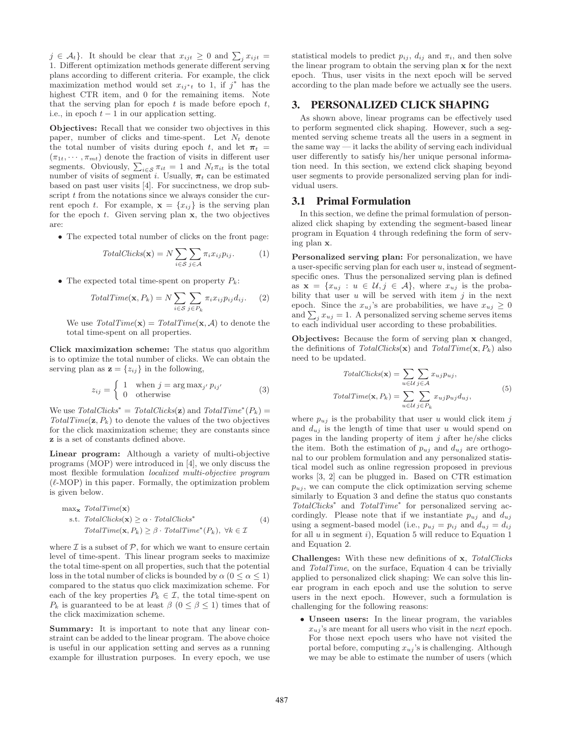$j \in \mathcal{A}_t$ . It should be clear that  $x_{ijt} \geq 0$  and  $\sum_j x_{ijt} =$ 1. Different optimization methods generate different serving plans according to different criteria. For example, the click maximization method would set  $x_{ij}$ <sup>\*</sup> to 1, if  $j^*$  has the highest CTR item, and 0 for the remaining items. Note that the serving plan for epoch  $t$  is made before epoch  $t$ , i.e., in epoch  $t-1$  in our application setting.

Objectives: Recall that we consider two objectives in this paper, number of clicks and time-spent. Let  $N_t$  denote the total number of visits during epoch t, and let  $\pi_t =$  $(\pi_{1t}, \dots, \pi_{mt})$  denote the fraction of visits in different user segments. Obviously,  $\sum_{i \in \mathcal{S}} \pi_{it} = 1$  and  $N_t \pi_{it}$  is the total number of visits of segment i. Usually,  $\pi_t$  can be estimated based on past user visits [4]. For succinctness, we drop subscript  $t$  from the notations since we always consider the current epoch t. For example,  $\mathbf{x} = \{x_{ij}\}\$ is the serving plan for the epoch  $t$ . Given serving plan  $x$ , the two objectives are:

• The expected total number of clicks on the front page:

$$
TotalClicks(\mathbf{x}) = N \sum_{i \in S} \sum_{j \in A} \pi_i x_{ij} p_{ij}.
$$
 (1)

• The expected total time-spent on property  $P_k$ :

$$
TotalTime(\mathbf{x}, P_k) = N \sum_{i \in S} \sum_{j \in P_k} \pi_i x_{ij} p_{ij} d_{ij}.
$$
 (2)

We use  $TotalTime(\mathbf{x}) = TotalTime(\mathbf{x}, \mathcal{A})$  to denote the total time-spent on all properties.

Click maximization scheme: The status quo algorithm is to optimize the total number of clicks. We can obtain the serving plan as  $\mathbf{z} = \{z_{ij}\}\$ in the following,

$$
z_{ij} = \begin{cases} 1 & \text{when } j = \arg \max_{j'} p_{ij'} \\ 0 & \text{otherwise} \end{cases}
$$
 (3)

We use  $TotalClicks^* = TotalClicks(\mathbf{z})$  and  $TotalTime^*(P_k) =$  $TotalTime(\mathbf{z}, P_k)$  to denote the values of the two objectives for the click maximization scheme; they are constants since z is a set of constants defined above.

Linear program: Although a variety of multi-objective programs (MOP) were introduced in [4], we only discuss the most flexible formulation *localized multi-objective program*  $(\ell\text{-MOP})$  in this paper. Formally, the optimization problem is given below.

$$
\max_{\mathbf{x}} TotalTime(\mathbf{x})
$$
  
s.t. TotalClicks( $\mathbf{x}$ )  $\geq \alpha \cdot TotalClicks^*$  (4)  
TotalTime( $\mathbf{x}, P_k$ )  $\geq \beta \cdot TotalTime^*(P_k)$ ,  $\forall k \in \mathcal{I}$ 

where  $\mathcal I$  is a subset of  $\mathcal P$ , for which we want to ensure certain level of time-spent. This linear program seeks to maximize the total time-spent on all properties, such that the potential loss in the total number of clicks is bounded by  $\alpha$  ( $0 \leq \alpha \leq 1$ ) compared to the status quo click maximization scheme. For each of the key properties  $P_k \in \mathcal{I}$ , the total time-spent on  $P_k$  is guaranteed to be at least  $\beta$  ( $0 \leq \beta \leq 1$ ) times that of the click maximization scheme.

Summary: It is important to note that any linear constraint can be added to the linear program. The above choice is useful in our application setting and serves as a running example for illustration purposes. In every epoch, we use statistical models to predict  $p_{ij}$ ,  $d_{ij}$  and  $\pi_i$ , and then solve the linear program to obtain the serving plan x for the next epoch. Thus, user visits in the next epoch will be served according to the plan made before we actually see the users.

# **3. PERSONALIZED CLICK SHAPING**

As shown above, linear programs can be effectively used to perform segmented click shaping. However, such a segmented serving scheme treats all the users in a segment in the same way — it lacks the ability of serving each individual user differently to satisfy his/her unique personal information need. In this section, we extend click shaping beyond user segments to provide personalized serving plan for individual users.

#### **3.1 Primal Formulation**

In this section, we define the primal formulation of personalized click shaping by extending the segment-based linear program in Equation 4 through redefining the form of serving plan x.

Personalized serving plan: For personalization, we have a user-specific serving plan for each user  $u$ , instead of segmentspecific ones. Thus the personalized serving plan is defined as  $\mathbf{x} = \{x_{ui} : u \in \mathcal{U}, j \in \mathcal{A}\}\)$ , where  $x_{ui}$  is the probability that user  $u$  will be served with item  $j$  in the next epoch. Since the  $x_{uj}$ 's are probabilities, we have  $x_{uj} \geq 0$ and  $\sum_j x_{uj} = 1$ . A personalized serving scheme serves items to each individual user according to these probabilities.

Objectives: Because the form of serving plan x changed, the definitions of  $TotalClicks(\mathbf{x})$  and  $TotalTime(\mathbf{x}, P_k)$  also need to be updated.

$$
TotalClicks(\mathbf{x}) = \sum_{u \in \mathcal{U}} \sum_{j \in \mathcal{A}} x_{uj} p_{uj},
$$

$$
TotalTime(\mathbf{x}, P_k) = \sum_{u \in \mathcal{U}} \sum_{j \in P_k} x_{uj} p_{uj} d_{uj},
$$
(5)

where  $p_{uj}$  is the probability that user u would click item j and  $d_{uj}$  is the length of time that user u would spend on pages in the landing property of item  $j$  after he/she clicks the item. Both the estimation of  $p_{uj}$  and  $d_{uj}$  are orthogonal to our problem formulation and any personalized statistical model such as online regression proposed in previous works [3, 2] can be plugged in. Based on CTR estimation  $p_{uj}$ , we can compute the click optimization serving scheme similarly to Equation 3 and define the status quo constants *TotalClicks*<sup>∗</sup> and *TotalTime*<sup>∗</sup> for personalized serving accordingly. Please note that if we instantiate  $p_{uj}$  and  $d_{uj}$ using a segment-based model (i.e.,  $p_{uj} = p_{ij}$  and  $d_{uj} = d_{ij}$ for all  $u$  in segment  $i$ ), Equation 5 will reduce to Equation 1 and Equation 2.

Challenges: With these new definitions of x, *TotalClicks* and *TotalTime*, on the surface, Equation 4 can be trivially applied to personalized click shaping: We can solve this linear program in each epoch and use the solution to serve users in the next epoch. However, such a formulation is challenging for the following reasons:

• Unseen users: In the linear program, the variables  $x_{ui}$ 's are meant for all users who visit in the *next* epoch. For those next epoch users who have not visited the portal before, computing  $x_{uj}$ 's is challenging. Although we may be able to estimate the number of users (which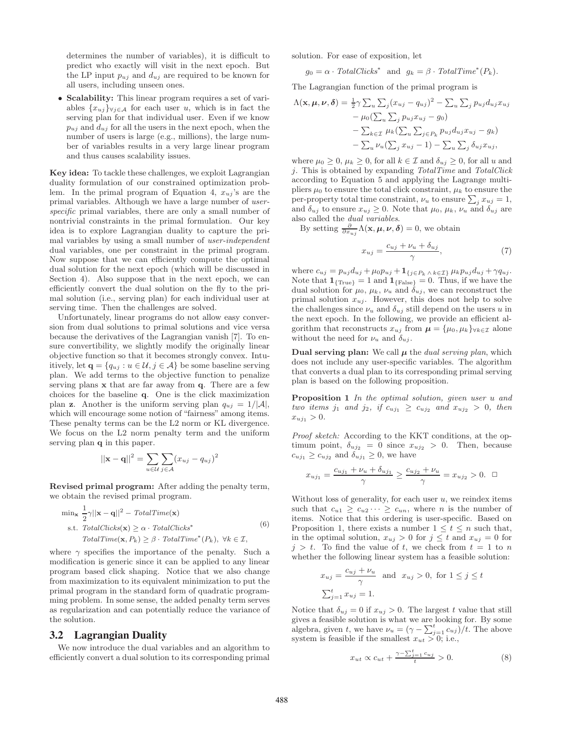determines the number of variables), it is difficult to predict who exactly will visit in the next epoch. But the LP input  $p_{uj}$  and  $d_{uj}$  are required to be known for all users, including unseen ones.

• Scalability: This linear program requires a set of variables  $\{x_{ui}\}_{\forall i\in\mathcal{A}}$  for each user u, which is in fact the serving plan for that individual user. Even if we know  $p_{ui}$  and  $d_{ui}$  for all the users in the next epoch, when the number of users is large (e.g., millions), the large number of variables results in a very large linear program and thus causes scalability issues.

Key idea: To tackle these challenges, we exploit Lagrangian duality formulation of our constrained optimization problem. In the primal program of Equation 4,  $x_{uj}$ 's are the primal variables. Although we have a large number of *userspecific* primal variables, there are only a small number of nontrivial constraints in the primal formulation. Our key idea is to explore Lagrangian duality to capture the primal variables by using a small number of *user-independent* dual variables, one per constraint in the primal program. Now suppose that we can efficiently compute the optimal dual solution for the next epoch (which will be discussed in Section 4). Also suppose that in the next epoch, we can efficiently convert the dual solution on the fly to the primal solution (i.e., serving plan) for each individual user at serving time. Then the challenges are solved.

Unfortunately, linear programs do not allow easy conversion from dual solutions to primal solutions and vice versa because the derivatives of the Lagrangian vanish [7]. To ensure convertibility, we slightly modify the originally linear objective function so that it becomes strongly convex. Intuitively, let  $\mathbf{q} = \{q_{uj} : u \in \mathcal{U}, j \in \mathcal{A}\}\$ be some baseline serving plan. We add terms to the objective function to penalize serving plans x that are far away from q. There are a few choices for the baseline q. One is the click maximization plan **z**. Another is the uniform serving plan  $q_{uj} = 1/|\mathcal{A}|$ , which will encourage some notion of "fairness" among items. These penalty terms can be the L2 norm or KL divergence. We focus on the L2 norm penalty term and the uniform serving plan q in this paper.

$$
||\mathbf{x} - \mathbf{q}||^2 = \sum_{u \in \mathcal{U}} \sum_{j \in \mathcal{A}} (x_{uj} - q_{uj})^2
$$

Revised primal program: After adding the penalty term, we obtain the revised primal program.

$$
\min_{\mathbf{x}} \frac{1}{2} \gamma ||\mathbf{x} - \mathbf{q}||^2 - \text{TotalTime}(\mathbf{x})
$$
\n
$$
\text{s.t. } \text{TotalClicks}(\mathbf{x}) \ge \alpha \cdot \text{TotalClicks}^* \tag{6}
$$
\n
$$
\text{TotalTime}(\mathbf{x}, P_k) \ge \beta \cdot \text{TotalTime}^*(P_k), \ \forall k \in \mathcal{I},
$$

where  $\gamma$  specifies the importance of the penalty. Such a modification is generic since it can be applied to any linear program based click shaping. Notice that we also change from maximization to its equivalent minimization to put the primal program in the standard form of quadratic programming problem. In some sense, the added penalty term serves as regularization and can potentially reduce the variance of the solution.

#### **3.2 Lagrangian Duality**

We now introduce the dual variables and an algorithm to efficiently convert a dual solution to its corresponding primal

solution. For ease of exposition, let

 $g_0 = \alpha \cdot \text{TotalClicks}^*$  and  $g_k = \beta \cdot \text{TotalTime}^*(P_k)$ .

The Lagrangian function of the primal program is

$$
\Lambda(\mathbf{x}, \boldsymbol{\mu}, \boldsymbol{\nu}, \boldsymbol{\delta}) = \frac{1}{2} \gamma \sum_{u} \sum_{j} (x_{uj} - q_{uj})^2 - \sum_{u} \sum_{j} p_{uj} d_{uj} x_{uj} \n- \mu_0 (\sum_{u} \sum_{j} p_{uj} x_{uj} - g_0) \n- \sum_{k \in \mathcal{I}} \mu_k (\sum_{u} \sum_{j \in P_k} p_{uj} d_{uj} x_{uj} - g_k) \n- \sum_{u} \nu_u (\sum_{j} x_{uj} - 1) - \sum_{u} \sum_{j} \delta_{uj} x_{uj},
$$

where  $\mu_0 \geq 0$ ,  $\mu_k \geq 0$ , for all  $k \in \mathcal{I}$  and  $\delta_{uj} \geq 0$ , for all u and j. This is obtained by expanding *TotalTime* and *TotalClick* according to Equation 5 and applying the Lagrange multipliers  $\mu_0$  to ensure the total click constraint,  $\mu_k$  to ensure the per-property total time constraint,  $\nu_u$  to ensure  $\sum_j x_{uj} = 1$ , and  $\delta_{uj}$  to ensure  $x_{uj} \geq 0$ . Note that  $\mu_0$ ,  $\mu_k$ ,  $\nu_u$  and  $\delta_{uj}$  are also called the *dual variables*.

By setting  $\frac{\partial}{\partial x_{uj}} \Lambda(\mathbf{x}, \boldsymbol{\mu}, \boldsymbol{\nu}, \boldsymbol{\delta}) = 0$ , we obtain

$$
x_{uj} = \frac{c_{uj} + \nu_u + \delta_{uj}}{\gamma},\tag{7}
$$

where  $c_{uj} = p_{uj}d_{uj} + \mu_0 p_{uj} + \mathbf{1}_{\{j \in P_k \land k \in \mathcal{I}\}} \mu_k p_{uj}d_{uj} + \gamma q_{uj}$ . Note that  $\mathbf{1}_{\{True\}} = 1$  and  $\mathbf{1}_{\{False\}} = 0$ . Thus, if we have the dual solution for  $\mu_0$ ,  $\mu_k$ ,  $\nu_u$  and  $\delta_{uj}$ , we can reconstruct the primal solution  $x_{uj}$ . However, this does not help to solve the challenges since  $\nu_u$  and  $\delta_{uj}$  still depend on the users u in the next epoch. In the following, we provide an efficient algorithm that reconstructs  $x_{uj}$  from  $\mu = {\mu_0, \mu_k}_{\forall k \in \mathcal{I}}$  alone without the need for  $\nu_u$  and  $\delta_{uj}$ .

**Dual serving plan:** We call  $\mu$  the *dual serving plan*, which does not include any user-specific variables. The algorithm that converts a dual plan to its corresponding primal serving plan is based on the following proposition.

Proposition 1 *In the optimal solution, given user* u *and two items*  $j_1$  *and*  $j_2$ *, if*  $c_{uj_1} \geq c_{uj_2}$  *and*  $x_{uj_2} > 0$ *, then*  $x_{u_{i_1}} > 0$ .

*Proof sketch:* According to the KKT conditions, at the optimum point,  $\delta_{u j_2} = 0$  since  $x_{u j_2} > 0$ . Then, because  $c_{u j_1} \geq c_{u j_2}$  and  $\overline{\delta_{u j_1}} \geq 0$ , we have

$$
x_{uj_1} = \frac{c_{uj_1} + \nu_u + \delta_{uj_1}}{\gamma} \ge \frac{c_{uj_2} + \nu_u}{\gamma} = x_{uj_2} > 0. \quad \Box
$$

Without loss of generality, for each user  $u$ , we reindex items such that  $c_{u1} \geq c_{u2} \cdots \geq c_{un}$ , where *n* is the number of items. Notice that this ordering is user-specific. Based on Proposition 1, there exists a number  $1 \leq t \leq n$  such that, in the optimal solution,  $x_{uj} > 0$  for  $j \leq t$  and  $x_{uj} = 0$  for  $j > t$ . To find the value of t, we check from  $t = 1$  to n whether the following linear system has a feasible solution:

$$
x_{uj} = \frac{c_{uj} + \nu_u}{\gamma} \text{ and } x_{uj} > 0, \text{ for } 1 \le j \le t
$$
  

$$
\sum_{j=1}^t x_{uj} = 1.
$$

Notice that  $\delta_{uj} = 0$  if  $x_{uj} > 0$ . The largest t value that still gives a feasible solution is what we are looking for. By some algebra, given t, we have  $\nu_u = (\gamma - \sum_{j=1}^t c_{uj})/t$ . The above system is feasible if the smallest  $x_{ut} > 0$ ; i.e.,

$$
x_{ut} \propto c_{ut} + \frac{\gamma - \sum_{j=1}^{t} c_{uj}}{t} > 0.
$$
 (8)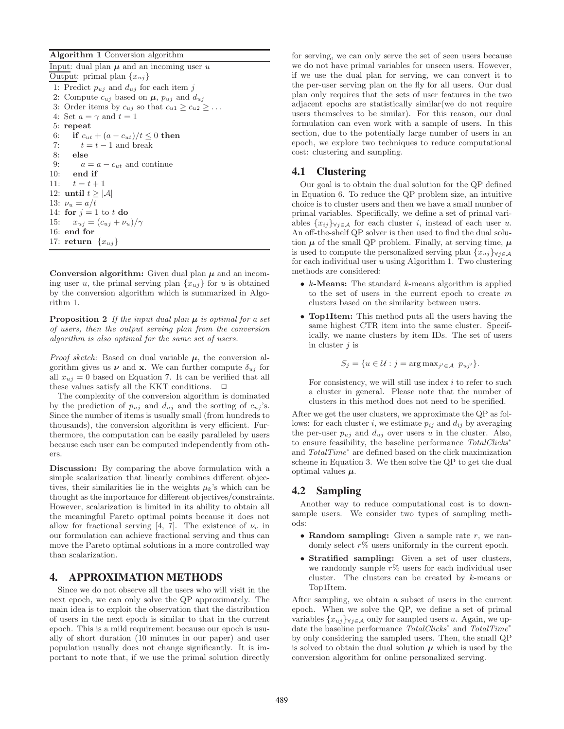Algorithm 1 Conversion algorithm

Input: dual plan  $\mu$  and an incoming user u Output: primal plan  ${x_{uj}}$ 1: Predict  $p_{uj}$  and  $d_{uj}$  for each item j 2: Compute  $c_{uj}$  based on  $\mu$ ,  $p_{uj}$  and  $d_{uj}$ 3: Order items by  $c_{uj}$  so that  $c_{u1} \geq c_{u2} \geq \ldots$ 4: Set  $a = \gamma$  and  $t = 1$ 5: repeat 6: if  $c_{ut} + (a - c_{ut})/t \leq 0$  then 7:  $t = t - 1$  and break 8: else 9:  $a = a - c_{ut}$  and continue 10: end if 11:  $t = t + 1$ 12: until  $t \geq |\mathcal{A}|$ 13:  $\nu_u = a/t$ 14: for  $j = 1$  to t do 15:  $x_{uj} = (c_{uj} + \nu_u)/\gamma$ 16: end for 17: return  $\{x_{ui}\}$ 

Conversion algorithm: Given dual plan  $\mu$  and an incoming user u, the primal serving plan  $\{x_{uj}\}$  for u is obtained by the conversion algorithm which is summarized in Algorithm 1.

**Proposition 2** If the input dual plan  $\mu$  is optimal for a set *of users, then the output serving plan from the conversion algorithm is also optimal for the same set of users.*

*Proof sketch:* Based on dual variable  $\mu$ , the conversion algorithm gives us  $\nu$  and x. We can further compute  $\delta_{uj}$  for all  $x_{ui} = 0$  based on Equation 7. It can be verified that all these values satisfy all the KKT conditions.  $\Box$ 

The complexity of the conversion algorithm is dominated by the prediction of  $p_{uj}$  and  $d_{uj}$  and the sorting of  $c_{uj}$ 's. Since the number of items is usually small (from hundreds to thousands), the conversion algorithm is very efficient. Furthermore, the computation can be easily paralleled by users because each user can be computed independently from others.

Discussion: By comparing the above formulation with a simple scalarization that linearly combines different objectives, their similarities lie in the weights  $\mu_k$ 's which can be thought as the importance for different objectives/constraints. However, scalarization is limited in its ability to obtain all the meaningful Pareto optimal points because it does not allow for fractional serving [4, 7]. The existence of  $\nu_u$  in our formulation can achieve fractional serving and thus can move the Pareto optimal solutions in a more controlled way than scalarization.

# **4. APPROXIMATION METHODS**

Since we do not observe all the users who will visit in the next epoch, we can only solve the QP approximately. The main idea is to exploit the observation that the distribution of users in the next epoch is similar to that in the current epoch. This is a mild requirement because our epoch is usually of short duration (10 minutes in our paper) and user population usually does not change significantly. It is important to note that, if we use the primal solution directly for serving, we can only serve the set of seen users because we do not have primal variables for unseen users. However, if we use the dual plan for serving, we can convert it to the per-user serving plan on the fly for all users. Our dual plan only requires that the sets of user features in the two adjacent epochs are statistically similar(we do not require users themselves to be similar). For this reason, our dual formulation can even work with a sample of users. In this section, due to the potentially large number of users in an epoch, we explore two techniques to reduce computational cost: clustering and sampling.

# **4.1 Clustering**

Our goal is to obtain the dual solution for the QP defined in Equation 6. To reduce the QP problem size, an intuitive choice is to cluster users and then we have a small number of primal variables. Specifically, we define a set of primal variables  $\{x_{ij}\}_{\forall j\in\mathcal{A}}$  for each cluster i, instead of each user u. An off-the-shelf QP solver is then used to find the dual solution  $\mu$  of the small QP problem. Finally, at serving time,  $\mu$ is used to compute the personalized serving plan  $\{x_{uj}\}_{\forall j \in \mathcal{A}}$ for each individual user  $u$  using Algorithm 1. Two clustering methods are considered:

- $k$ -Means: The standard  $k$ -means algorithm is applied to the set of users in the current epoch to create m clusters based on the similarity between users.
- **Top1Item:** This method puts all the users having the same highest CTR item into the same cluster. Specifically, we name clusters by item IDs. The set of users in cluster  $j$  is

$$
S_j = \{ u \in \mathcal{U} : j = \arg \max_{j' \in \mathcal{A}} p_{uj'} \}.
$$

For consistency, we will still use index  $i$  to refer to such a cluster in general. Please note that the number of clusters in this method does not need to be specified.

After we get the user clusters, we approximate the QP as follows: for each cluster i, we estimate  $p_{ij}$  and  $d_{ij}$  by averaging the per-user  $p_{uj}$  and  $d_{uj}$  over users u in the cluster. Also, to ensure feasibility, the baseline performance *TotalClicks*<sup>∗</sup> and *TotalTime*<sup>∗</sup> are defined based on the click maximization scheme in Equation 3. We then solve the QP to get the dual optimal values  $\mu$ .

# **4.2 Sampling**

Another way to reduce computational cost is to downsample users. We consider two types of sampling methods:

- Random sampling: Given a sample rate  $r$ , we randomly select  $r\%$  users uniformly in the current epoch.
- Stratified sampling: Given a set of user clusters, we randomly sample  $r\%$  users for each individual user cluster. The clusters can be created by  $k$ -means or Top1Item.

After sampling, we obtain a subset of users in the current epoch. When we solve the QP, we define a set of primal variables  $\{x_{uj}\}_{\forall j\in\mathcal{A}}$  only for sampled users u. Again, we update the baseline performance *TotalClicks*<sup>∗</sup> and *TotalTime*<sup>∗</sup> by only considering the sampled users. Then, the small QP is solved to obtain the dual solution  $\mu$  which is used by the conversion algorithm for online personalized serving.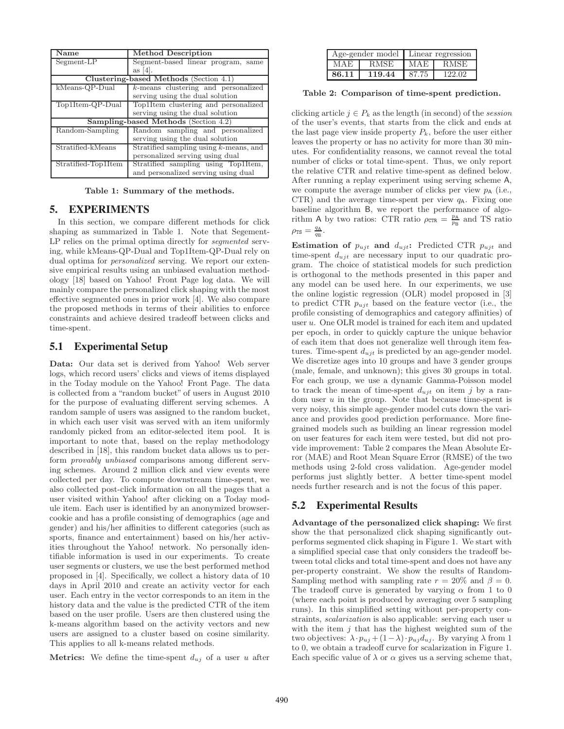| Name                                        | <b>Method Description</b>                 |  |  |  |  |
|---------------------------------------------|-------------------------------------------|--|--|--|--|
| Segment-LP                                  | Segment-based linear program, same        |  |  |  |  |
|                                             | as $[4]$ .                                |  |  |  |  |
| Clustering-based Methods (Section 4.1)      |                                           |  |  |  |  |
| kMeans-QP-Dual                              | $k$ -means clustering and personalized    |  |  |  |  |
|                                             | serving using the dual solution           |  |  |  |  |
| Top1Item-QP-Dual                            | Top1Item clustering and personalized      |  |  |  |  |
|                                             | serving using the dual solution           |  |  |  |  |
| <b>Sampling-based Methods</b> (Section 4.2) |                                           |  |  |  |  |
| Random-Sampling                             | Random sampling and personalized          |  |  |  |  |
|                                             | serving using the dual solution           |  |  |  |  |
| Stratified-kMeans                           | Stratified sampling using $k$ -means, and |  |  |  |  |
|                                             | personalized serving using dual           |  |  |  |  |
| Stratified-Top1Item                         | Stratified sampling using Top1Item,       |  |  |  |  |
|                                             | and personalized serving using dual       |  |  |  |  |

Table 1: Summary of the methods.

#### **5. EXPERIMENTS**

In this section, we compare different methods for click shaping as summarized in Table 1. Note that Segement-LP relies on the primal optima directly for *segmented* serving, while kMeans-QP-Dual and Top1Item-QP-Dual rely on dual optima for *personalized* serving. We report our extensive empirical results using an unbiased evaluation methodology [18] based on Yahoo! Front Page log data. We will mainly compare the personalized click shaping with the most effective segmented ones in prior work [4]. We also compare the proposed methods in terms of their abilities to enforce constraints and achieve desired tradeoff between clicks and time-spent.

# **5.1 Experimental Setup**

Data: Our data set is derived from Yahoo! Web server logs, which record users' clicks and views of items displayed in the Today module on the Yahoo! Front Page. The data is collected from a "random bucket" of users in August 2010 for the purpose of evaluating different serving schemes. A random sample of users was assigned to the random bucket, in which each user visit was served with an item uniformly randomly picked from an editor-selected item pool. It is important to note that, based on the replay methodology described in [18], this random bucket data allows us to perform *provably unbiased* comparisons among different serving schemes. Around 2 million click and view events were collected per day. To compute downstream time-spent, we also collected post-click information on all the pages that a user visited within Yahoo! after clicking on a Today module item. Each user is identified by an anonymized browsercookie and has a profile consisting of demographics (age and gender) and his/her affinities to different categories (such as sports, finance and entertainment) based on his/her activities throughout the Yahoo! network. No personally identifiable information is used in our experiments. To create user segments or clusters, we use the best performed method proposed in [4]. Specifically, we collect a history data of 10 days in April 2010 and create an activity vector for each user. Each entry in the vector corresponds to an item in the history data and the value is the predicted CTR of the item based on the user profile. Users are then clustered using the k-means algorithm based on the activity vectors and new users are assigned to a cluster based on cosine similarity. This applies to all k-means related methods.

**Metrics:** We define the time-spent  $d_{uj}$  of a user u after

| Age-gender model   Linear regression |             |       |             |  |
|--------------------------------------|-------------|-------|-------------|--|
| MAE                                  | <b>RMSE</b> | MAE   | <b>RMSE</b> |  |
| 86.11                                | 119.44      | 87.75 | 122.02      |  |

Table 2: Comparison of time-spent prediction.

clicking article  $j \in P_k$  as the length (in second) of the *session* of the user's events, that starts from the click and ends at the last page view inside property  $P_k$ , before the user either leaves the property or has no activity for more than 30 minutes. For confidentiality reasons, we cannot reveal the total number of clicks or total time-spent. Thus, we only report the relative CTR and relative time-spent as defined below. After running a replay experiment using serving scheme A, we compute the average number of clicks per view  $p_A$  (i.e., CTR) and the average time-spent per view  $q_A$ . Fixing one baseline algorithm B, we report the performance of algorithm A by two ratios: CTR ratio  $\rho_{\text{CTR}} = \frac{p_A}{p_B}$  and TS ratio  $\rho_{\rm TS} = \frac{q_{\rm A}}{q_{\rm B}}$ .

**Estimation of**  $p_{ujt}$  and  $d_{ujt}$ : Predicted CTR  $p_{ujt}$  and time-spent  $d_{ujt}$  are necessary input to our quadratic program. The choice of statistical models for such prediction is orthogonal to the methods presented in this paper and any model can be used here. In our experiments, we use the online logistic regression (OLR) model proposed in [3] to predict CTR  $p_{uit}$  based on the feature vector (i.e., the profile consisting of demographics and category affinities) of user u. One OLR model is trained for each item and updated per epoch, in order to quickly capture the unique behavior of each item that does not generalize well through item features. Time-spent  $d_{ujt}$  is predicted by an age-gender model. We discretize ages into 10 groups and have 3 gender groups (male, female, and unknown); this gives 30 groups in total. For each group, we use a dynamic Gamma-Poisson model to track the mean of time-spent  $d_{ujt}$  on item j by a random user  $u$  in the group. Note that because time-spent is very noisy, this simple age-gender model cuts down the variance and provides good prediction performance. More finegrained models such as building an linear regression model on user features for each item were tested, but did not provide improvement: Table 2 compares the Mean Absolute Error (MAE) and Root Mean Square Error (RMSE) of the two methods using 2-fold cross validation. Age-gender model performs just slightly better. A better time-spent model needs further research and is not the focus of this paper.

# **5.2 Experimental Results**

Advantage of the personalized click shaping: We first show the that personalized click shaping significantly outperforms segmented click shaping in Figure 1. We start with a simplified special case that only considers the tradeoff between total clicks and total time-spent and does not have any per-property constraint. We show the results of Random-Sampling method with sampling rate  $r = 20\%$  and  $\beta = 0$ . The tradeoff curve is generated by varying  $\alpha$  from 1 to 0 (where each point is produced by averaging over 5 sampling runs). In this simplified setting without per-property constraints, *scalarization* is also applicable: serving each user u with the item  $j$  that has the highest weighted sum of the two objectives:  $\lambda \cdot p_{uj} + (1-\lambda) \cdot p_{uj} d_{uj}$ . By varying  $\lambda$  from 1 to 0, we obtain a tradeoff curve for scalarization in Figure 1. Each specific value of  $\lambda$  or  $\alpha$  gives us a serving scheme that,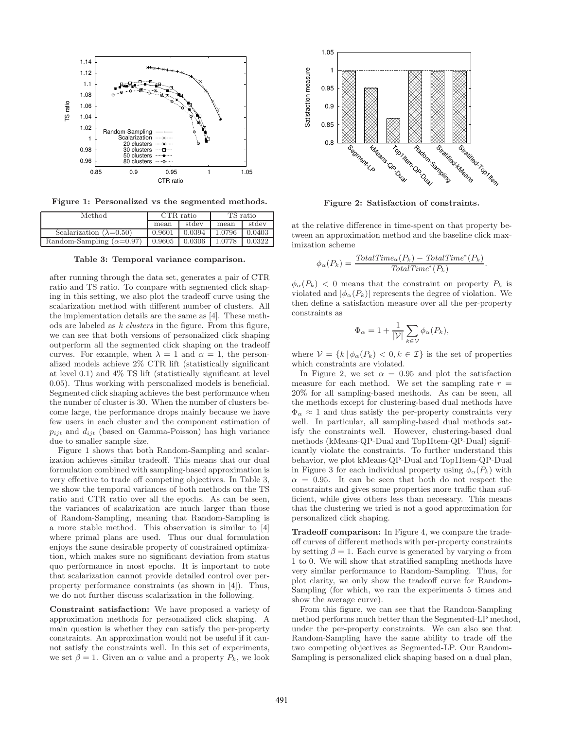

Figure 1: Personalized vs the segmented methods.

| Method                          | CTR ratio |        | $TS$ ratio |        |
|---------------------------------|-----------|--------|------------|--------|
|                                 | mean      | stdev  | mean       | stdev  |
| Scalarization $(\lambda=0.50)$  | 0.9601    | 0.0394 | 1.0796     | 0.0403 |
| Random-Sampling $(\alpha=0.97)$ | 0.9605    | 0.0306 | 1.0778     | 0.0322 |

Table 3: Temporal variance comparison.

after running through the data set, generates a pair of CTR ratio and TS ratio. To compare with segmented click shaping in this setting, we also plot the tradeoff curve using the scalarization method with different number of clusters. All the implementation details are the same as [4]. These methods are labeled as *k clusters* in the figure. From this figure, we can see that both versions of personalized click shaping outperform all the segmented click shaping on the tradeoff curves. For example, when  $\lambda = 1$  and  $\alpha = 1$ , the personalized models achieve 2% CTR lift (statistically significant at level 0.1) and 4% TS lift (statistically significant at level 0.05). Thus working with personalized models is beneficial. Segmented click shaping achieves the best performance when the number of cluster is 30. When the number of clusters become large, the performance drops mainly because we have few users in each cluster and the component estimation of  $p_{ijt}$  and  $d_{ijt}$  (based on Gamma-Poisson) has high variance due to smaller sample size.

Figure 1 shows that both Random-Sampling and scalarization achieves similar tradeoff. This means that our dual formulation combined with sampling-based approximation is very effective to trade off competing objectives. In Table 3, we show the temporal variances of both methods on the TS ratio and CTR ratio over all the epochs. As can be seen, the variances of scalarization are much larger than those of Random-Sampling, meaning that Random-Sampling is a more stable method. This observation is similar to [4] where primal plans are used. Thus our dual formulation enjoys the same desirable property of constrained optimization, which makes sure no significant deviation from status quo performance in most epochs. It is important to note that scalarization cannot provide detailed control over perproperty performance constraints (as shown in [4]). Thus, we do not further discuss scalarization in the following.

Constraint satisfaction: We have proposed a variety of approximation methods for personalized click shaping. A main question is whether they can satisfy the per-property constraints. An approximation would not be useful if it cannot satisfy the constraints well. In this set of experiments, we set  $\beta = 1$ . Given an  $\alpha$  value and a property  $P_k$ , we look



Figure 2: Satisfaction of constraints.

at the relative difference in time-spent on that property between an approximation method and the baseline click maximization scheme

$$
\phi_{\alpha}(P_k) = \frac{TotalTime_{\alpha}(P_k) - TotalTime^*(P_k)}{TotalTime^*(P_k)}
$$

.

 $\phi_{\alpha}(P_k)$  < 0 means that the constraint on property  $P_k$  is violated and  $|\phi_{\alpha}(P_k)|$  represents the degree of violation. We then define a satisfaction measure over all the per-property constraints as

$$
\Phi_{\alpha} = 1 + \frac{1}{|\mathcal{V}|} \sum_{k \in \mathcal{V}} \phi_{\alpha}(P_k),
$$

where  $V = \{k | \phi_\alpha(P_k) < 0, k \in \mathcal{I}\}\$ is the set of properties which constraints are violated.

In Figure 2, we set  $\alpha = 0.95$  and plot the satisfaction measure for each method. We set the sampling rate  $r =$ 20% for all sampling-based methods. As can be seen, all the methods except for clustering-based dual methods have  $\Phi_{\alpha} \approx 1$  and thus satisfy the per-property constraints very well. In particular, all sampling-based dual methods satisfy the constraints well. However, clustering-based dual methods (kMeans-QP-Dual and Top1Item-QP-Dual) significantly violate the constraints. To further understand this behavior, we plot kMeans-QP-Dual and Top1Item-QP-Dual in Figure 3 for each individual property using  $\phi_{\alpha}(P_k)$  with  $\alpha = 0.95$ . It can be seen that both do not respect the constraints and gives some properties more traffic than sufficient, while gives others less than necessary. This means that the clustering we tried is not a good approximation for personalized click shaping.

Tradeoff comparison: In Figure 4, we compare the tradeoff curves of different methods with per-property constraints by setting  $\beta = 1$ . Each curve is generated by varying  $\alpha$  from 1 to 0. We will show that stratified sampling methods have very similar performance to Random-Sampling. Thus, for plot clarity, we only show the tradeoff curve for Random-Sampling (for which, we ran the experiments 5 times and show the average curve).

From this figure, we can see that the Random-Sampling method performs much better than the Segmented-LP method, under the per-property constraints. We can also see that Random-Sampling have the same ability to trade off the two competing objectives as Segmented-LP. Our Random-Sampling is personalized click shaping based on a dual plan,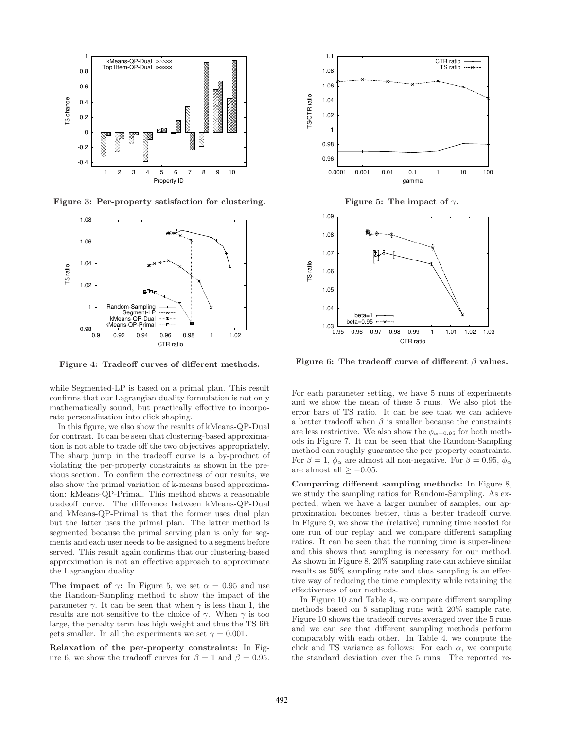

Figure 3: Per-property satisfaction for clustering.



Figure 4: Tradeoff curves of different methods.

while Segmented-LP is based on a primal plan. This result confirms that our Lagrangian duality formulation is not only mathematically sound, but practically effective to incorporate personalization into click shaping.

In this figure, we also show the results of kMeans-QP-Dual for contrast. It can be seen that clustering-based approximation is not able to trade off the two objectives appropriately. The sharp jump in the tradeoff curve is a by-product of violating the per-property constraints as shown in the previous section. To confirm the correctness of our results, we also show the primal variation of k-means based approximation: kMeans-QP-Primal. This method shows a reasonable tradeoff curve. The difference between kMeans-QP-Dual and kMeans-QP-Primal is that the former uses dual plan but the latter uses the primal plan. The latter method is segmented because the primal serving plan is only for segments and each user needs to be assigned to a segment before served. This result again confirms that our clustering-based approximation is not an effective approach to approximate the Lagrangian duality.

The impact of  $\gamma$ : In Figure 5, we set  $\alpha = 0.95$  and use the Random-Sampling method to show the impact of the parameter  $\gamma$ . It can be seen that when  $\gamma$  is less than 1, the results are not sensitive to the choice of  $\gamma$ . When  $\gamma$  is too large, the penalty term has high weight and thus the TS lift gets smaller. In all the experiments we set  $\gamma = 0.001$ .

Relaxation of the per-property constraints: In Figure 6, we show the tradeoff curves for  $\beta = 1$  and  $\beta = 0.95$ .



Figure 5: The impact of  $\gamma$ .



Figure 6: The tradeoff curve of different  $\beta$  values.

For each parameter setting, we have 5 runs of experiments and we show the mean of these 5 runs. We also plot the error bars of TS ratio. It can be see that we can achieve a better tradeoff when  $\beta$  is smaller because the constraints are less restrictive. We also show the  $\phi_{\alpha=0.95}$  for both methods in Figure 7. It can be seen that the Random-Sampling method can roughly guarantee the per-property constraints. For  $\beta = 1$ ,  $\phi_{\alpha}$  are almost all non-negative. For  $\beta = 0.95$ ,  $\phi_{\alpha}$ are almost all  $\geq -0.05$ .

Comparing different sampling methods: In Figure 8, we study the sampling ratios for Random-Sampling. As expected, when we have a larger number of samples, our approximation becomes better, thus a better tradeoff curve. In Figure 9, we show the (relative) running time needed for one run of our replay and we compare different sampling ratios. It can be seen that the running time is super-linear and this shows that sampling is necessary for our method. As shown in Figure 8, 20% sampling rate can achieve similar results as 50% sampling rate and thus sampling is an effective way of reducing the time complexity while retaining the effectiveness of our methods.

In Figure 10 and Table 4, we compare different sampling methods based on 5 sampling runs with 20% sample rate. Figure 10 shows the tradeoff curves averaged over the 5 runs and we can see that different sampling methods perform comparably with each other. In Table 4, we compute the click and TS variance as follows: For each  $\alpha$ , we compute the standard deviation over the 5 runs. The reported re-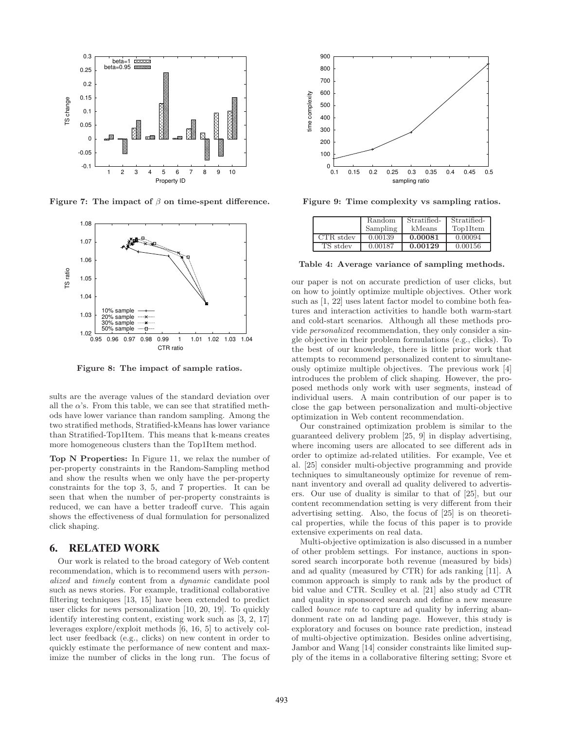

Figure 7: The impact of  $\beta$  on time-spent difference.



Figure 8: The impact of sample ratios.

sults are the average values of the standard deviation over all the  $\alpha$ 's. From this table, we can see that stratified methods have lower variance than random sampling. Among the two stratified methods, Stratified-kMeans has lower variance than Stratified-Top1Item. This means that k-means creates more homogeneous clusters than the Top1Item method.

Top N Properties: In Figure 11, we relax the number of per-property constraints in the Random-Sampling method and show the results when we only have the per-property constraints for the top 3, 5, and 7 properties. It can be seen that when the number of per-property constraints is reduced, we can have a better tradeoff curve. This again shows the effectiveness of dual formulation for personalized click shaping.

# **6. RELATED WORK**

Our work is related to the broad category of Web content recommendation, which is to recommend users with *personalized* and *timely* content from a *dynamic* candidate pool such as news stories. For example, traditional collaborative filtering techniques [13, 15] have been extended to predict user clicks for news personalization [10, 20, 19]. To quickly identify interesting content, existing work such as [3, 2, 17] leverages explore/exploit methods [6, 16, 5] to actively collect user feedback (e.g., clicks) on new content in order to quickly estimate the performance of new content and maximize the number of clicks in the long run. The focus of



Figure 9: Time complexity vs sampling ratios.

|           | Random   | Stratified- | Stratified- |
|-----------|----------|-------------|-------------|
|           | Sampling | kMeans      | Top1Item    |
| CTR stdev | 0.00139  | 0.00081     | 0.00094     |
| TS stdev  | 0.00187  | 0.00129     | 0.00156     |

Table 4: Average variance of sampling methods.

our paper is not on accurate prediction of user clicks, but on how to jointly optimize multiple objectives. Other work such as [1, 22] uses latent factor model to combine both features and interaction activities to handle both warm-start and cold-start scenarios. Although all these methods provide *personalized* recommendation, they only consider a single objective in their problem formulations (e.g., clicks). To the best of our knowledge, there is little prior work that attempts to recommend personalized content to simultaneously optimize multiple objectives. The previous work [4] introduces the problem of click shaping. However, the proposed methods only work with user segments, instead of individual users. A main contribution of our paper is to close the gap between personalization and multi-objective optimization in Web content recommendation.

Our constrained optimization problem is similar to the guaranteed delivery problem [25, 9] in display advertising, where incoming users are allocated to see different ads in order to optimize ad-related utilities. For example, Vee et al. [25] consider multi-objective programming and provide techniques to simultaneously optimize for revenue of remnant inventory and overall ad quality delivered to advertisers. Our use of duality is similar to that of [25], but our content recommendation setting is very different from their advertising setting. Also, the focus of [25] is on theoretical properties, while the focus of this paper is to provide extensive experiments on real data.

Multi-objective optimization is also discussed in a number of other problem settings. For instance, auctions in sponsored search incorporate both revenue (measured by bids) and ad quality (measured by CTR) for ads ranking [11]. A common approach is simply to rank ads by the product of bid value and CTR. Sculley et al. [21] also study ad CTR and quality in sponsored search and define a new measure called *bounce rate* to capture ad quality by inferring abandonment rate on ad landing page. However, this study is exploratory and focuses on bounce rate prediction, instead of multi-objective optimization. Besides online advertising, Jambor and Wang [14] consider constraints like limited supply of the items in a collaborative filtering setting; Svore et